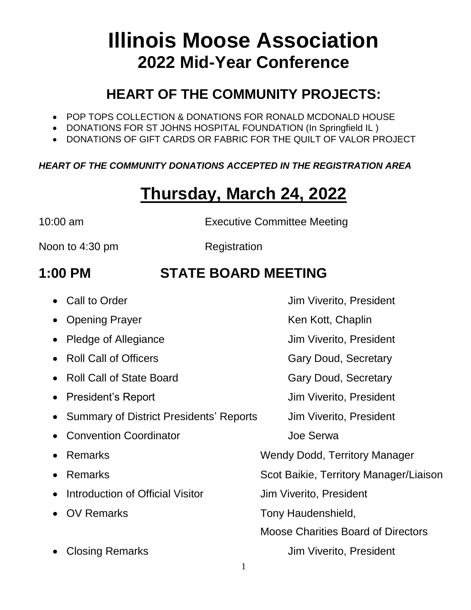# **Illinois Moose Association 2022 Mid-Year Conference**

#### **HEART OF THE COMMUNITY PROJECTS:**

- POP TOPS COLLECTION & DONATIONS FOR RONALD MCDONALD HOUSE
- DONATIONS FOR ST JOHNS HOSPITAL FOUNDATION (In Springfield IL)
- DONATIONS OF GIFT CARDS OR FABRIC FOR THE QUILT OF VALOR PROJECT

#### *HEART OF THE COMMUNITY DONATIONS ACCEPTED IN THE REGISTRATION AREA*

# **Thursday, March 24, 2022**

10:00 am Executive Committee Meeting

Noon to 4:30 pm Registration

### **1:00 PM STATE BOARD MEETING**

- Call to Order **Jim Viverito, President**
- Opening Prayer **Ken Kott**, Chaplin
- Pledge of Allegiance Jim Viverito, President
- Roll Call of Officers Gary Doud, Secretary
- Roll Call of State Board Gary Doud, Secretary
- 
- Summary of District Presidents' Reports Jim Viverito, President
- Convention Coordinator **Convention** Coordinator
- 
- 
- Introduction of Official Visitor Jim Viverito, President
- 
- 

• President's Report Jim Viverito, President

• Remarks **Wendy Dodd, Territory Manager** 

• Remarks Scot Baikie, Territory Manager/Liaison

• OV Remarks Tony Haudenshield,

Moose Charities Board of Directors

Closing Remarks Jim Viverito, President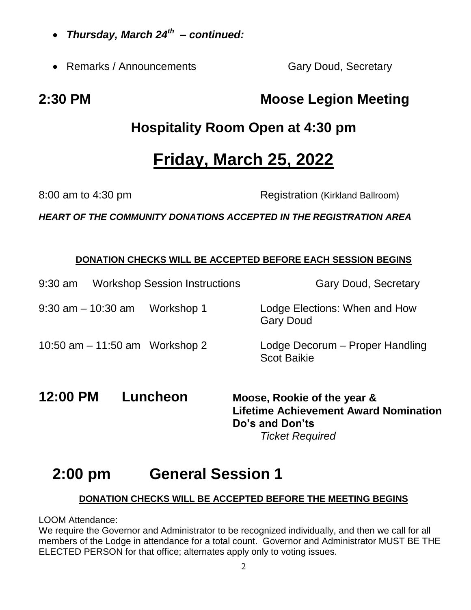- *Thursday, March 24th – continued:*
- Remarks / Announcements **Gary Doud, Secretary**

### **Hospitality Room Open at 4:30 pm**

# **Friday, March 25, 2022**

8:00 am to 4:30 pm

*HEART OF THE COMMUNITY DONATIONS ACCEPTED IN THE REGISTRATION AREA*

#### **DONATION CHECKS WILL BE ACCEPTED BEFORE EACH SESSION BEGINS**

- 9:30 am 10:30 am Workshop 1 Lodge Elections: When and How Gary Doud 10:50 am – 11:50 am Workshop 2 Lodge Decorum – Proper Handling Scot Baikie
- **12:00 PM Luncheon Moose, Rookie of the year & Lifetime Achievement Award Nomination Do's and Don'ts** *Ticket Required*

### **2:00 pm General Session 1**

#### **DONATION CHECKS WILL BE ACCEPTED BEFORE THE MEETING BEGINS**

LOOM Attendance:

We require the Governor and Administrator to be recognized individually, and then we call for all members of the Lodge in attendance for a total count. Governor and Administrator MUST BE THE ELECTED PERSON for that office; alternates apply only to voting issues.

**2:30 PM Moose Legion Meeting**

9:30 am Workshop Session Instructions Gary Doud, Secretary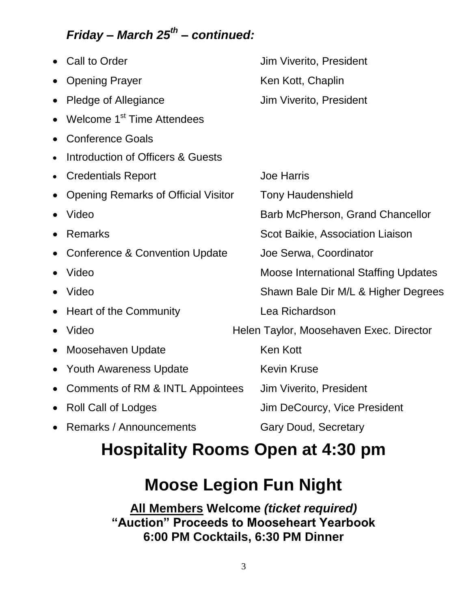#### *Friday – March 25th – continued:*

| Jim Viverito, President                                     |
|-------------------------------------------------------------|
| Ken Kott, Chaplin                                           |
| Jim Viverito, President                                     |
|                                                             |
|                                                             |
|                                                             |
| <b>Joe Harris</b>                                           |
| <b>Tony Haudenshield</b>                                    |
| Barb McPherson, Grand Chancellor                            |
| Scot Baikie, Association Liaison                            |
| Joe Serwa, Coordinator                                      |
| <b>Moose International Staffing Updates</b>                 |
| Shawn Bale Dir M/L & Higher Degrees                         |
| Lea Richardson                                              |
| Helen Taylor, Moosehaven Exec. Director                     |
| <b>Ken Kott</b>                                             |
| <b>Kevin Kruse</b>                                          |
| Comments of RM & INTL Appointees<br>Jim Viverito, President |
| Jim DeCourcy, Vice President                                |
| <b>Gary Doud, Secretary</b>                                 |
|                                                             |

# **Hospitality Rooms Open at 4:30 pm**

### **Moose Legion Fun Night**

**All Members Welcome** *(ticket required)* **"Auction" Proceeds to Mooseheart Yearbook 6:00 PM Cocktails, 6:30 PM Dinner**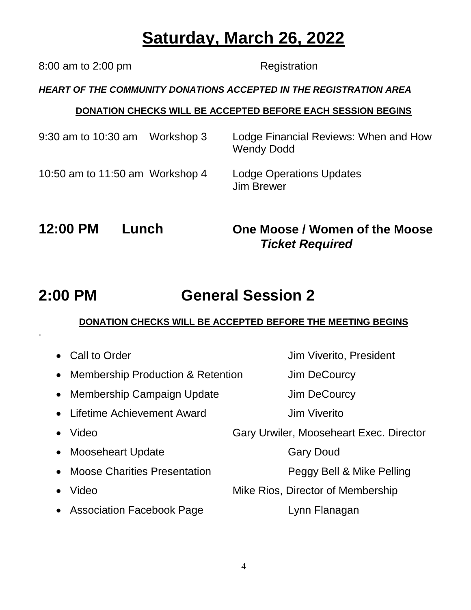# **Saturday, March 26, 2022**

*HEART OF THE COMMUNITY DONATIONS ACCEPTED IN THE REGISTRATION AREA* **DONATION CHECKS WILL BE ACCEPTED BEFORE EACH SESSION BEGINS** 9:30 am to 10:30 am Workshop 3 Lodge Financial Reviews: When and How Wendy Dodd 10:50 am to 11:50 am Workshop 4 Lodge Operations Updates Jim Brewer **12:00 PM Lunch One Moose / Women of the Moose** *Ticket Required*

# **2:00 PM General Session 2**

#### **DONATION CHECKS WILL BE ACCEPTED BEFORE THE MEETING BEGINS**

|           | • Call to Order                     | Jim Viverito, President                 |
|-----------|-------------------------------------|-----------------------------------------|
|           | • Membership Production & Retention | Jim DeCourcy                            |
| $\bullet$ | <b>Membership Campaign Update</b>   | Jim DeCourcy                            |
|           | • Lifetime Achievement Award        | <b>Jim Viverito</b>                     |
|           | Video                               | Gary Urwiler, Mooseheart Exec. Director |
|           | • Mooseheart Update                 | <b>Gary Doud</b>                        |
|           | • Moose Charities Presentation      | Peggy Bell & Mike Pelling               |
|           | Video                               | Mike Rios, Director of Membership       |
|           | • Association Facebook Page         | Lynn Flanagan                           |

8:00 am to 2:00 pm Registration

.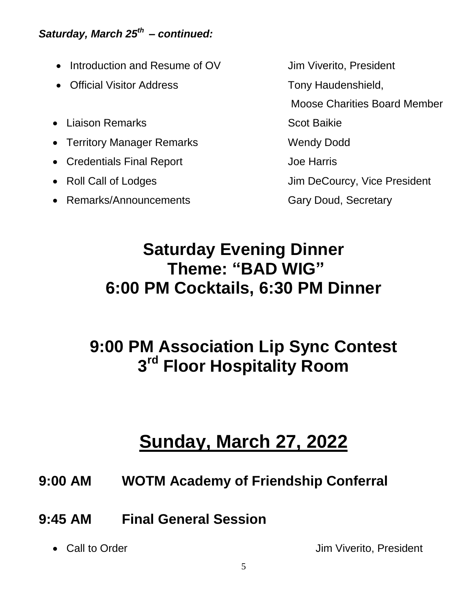#### *Saturday, March 25th – continued:*

- Introduction and Resume of OV Jim Viverito, President
- Official Visitor Address Tony Haudenshield,
- Liaison Remarks Scot Baikie
- Territory Manager Remarks Wendy Dodd
- Credentials Final Report Joe Harris
- 
- Remarks/Announcements **Gary Doud, Secretary**

Moose Charities Board Member • Roll Call of Lodges Jim DeCourcy, Vice President

# **Saturday Evening Dinner Theme: "BAD WIG" 6:00 PM Cocktails, 6:30 PM Dinner**

# **9:00 PM Association Lip Sync Contest 3 rd Floor Hospitality Room**

# **Sunday, March 27, 2022**

- **9:00 AM WOTM Academy of Friendship Conferral**
- **9:45 AM Final General Session**
	-

• Call to Order **Jim Viverito, President**